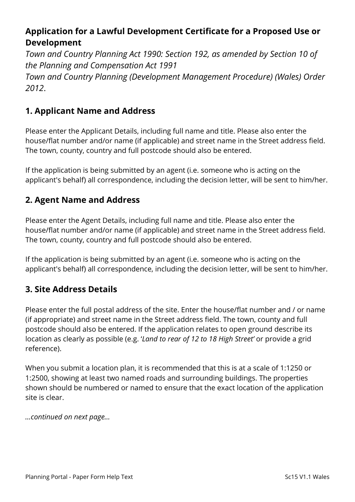# **Application for a Lawful Development Certificate for a Proposed Use or Development**

*Town and Country Planning Act 1990: Section 192, as amended by Section 10 of the Planning and Compensation Act 1991* 

*Town and Country Planning (Development Management Procedure) (Wales) Order 2012*.

## **1. Applicant Name and Address**

Please enter the Applicant Details, including full name and title. Please also enter the house/flat number and/or name (if applicable) and street name in the Street address field. The town, county, country and full postcode should also be entered.

If the application is being submitted by an agent (i.e. someone who is acting on the applicant's behalf) all correspondence, including the decision letter, will be sent to him/her.

## **2. Agent Name and Address**

Please enter the Agent Details, including full name and title. Please also enter the house/flat number and/or name (if applicable) and street name in the Street address field. The town, county, country and full postcode should also be entered.

If the application is being submitted by an agent (i.e. someone who is acting on the applicant's behalf) all correspondence, including the decision letter, will be sent to him/her.

## **3. Site Address Details**

Please enter the full postal address of the site. Enter the house/flat number and / or name (if appropriate) and street name in the Street address field. The town, county and full postcode should also be entered. If the application relates to open ground describe its location as clearly as possible (e.g. '*Land to rear of 12 to 18 High Street'* or provide a grid reference).

When you submit a location plan, it is recommended that this is at a scale of 1:1250 or 1:2500, showing at least two named roads and surrounding buildings. The properties shown should be numbered or named to ensure that the exact location of the application site is clear.

*…continued on next page…*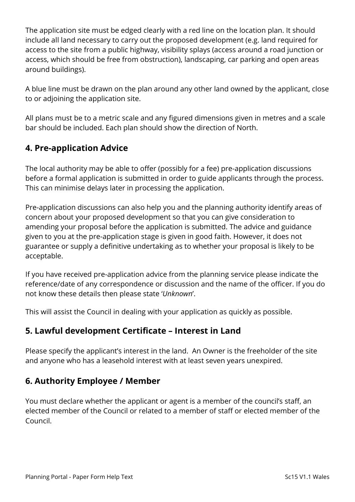The application site must be edged clearly with a red line on the location plan. It should include all land necessary to carry out the proposed development (e.g. land required for access to the site from a public highway, visibility splays (access around a road junction or access, which should be free from obstruction), landscaping, car parking and open areas around buildings).

A blue line must be drawn on the plan around any other land owned by the applicant, close to or adjoining the application site.

All plans must be to a metric scale and any figured dimensions given in metres and a scale bar should be included. Each plan should show the direction of North.

## **4. Pre-application Advice**

The local authority may be able to offer (possibly for a fee) pre-application discussions before a formal application is submitted in order to guide applicants through the process. This can minimise delays later in processing the application.

Pre-application discussions can also help you and the planning authority identify areas of concern about your proposed development so that you can give consideration to amending your proposal before the application is submitted. The advice and guidance given to you at the pre-application stage is given in good faith. However, it does not guarantee or supply a definitive undertaking as to whether your proposal is likely to be acceptable.

If you have received pre-application advice from the planning service please indicate the reference/date of any correspondence or discussion and the name of the officer. If you do not know these details then please state '*Unknown*'.

This will assist the Council in dealing with your application as quickly as possible.

### **5. Lawful development Certificate – Interest in Land**

Please specify the applicant's interest in the land. An Owner is the freeholder of the site and anyone who has a leasehold interest with at least seven years unexpired.

## **6. Authority Employee / Member**

You must declare whether the applicant or agent is a member of the council's staff, an elected member of the Council or related to a member of staff or elected member of the Council.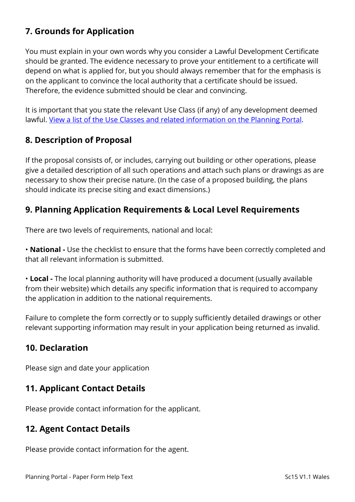# **7. Grounds for Application**

You must explain in your own words why you consider a Lawful Development Certificate should be granted. The evidence necessary to prove your entitlement to a certificate will depend on what is applied for, but you should always remember that for the emphasis is on the applicant to convince the local authority that a certificate should be issued. Therefore, the evidence submitted should be clear and convincing.

It is important that you state the relevant Use Class (if any) of any development deemed lawful. [View a list of the Use Classes and related information on the Planning Portal.](https://www.planningportal.co.uk/wales_en/info/3/common_projects/6/change_of_use)

## **8. Description of Proposal**

If the proposal consists of, or includes, carrying out building or other operations, please give a detailed description of all such operations and attach such plans or drawings as are necessary to show their precise nature. (In the case of a proposed building, the plans should indicate its precise siting and exact dimensions.)

## **9. Planning Application Requirements & Local Level Requirements**

There are two levels of requirements, national and local:

• **National -** Use the checklist to ensure that the forms have been correctly completed and that all relevant information is submitted.

• **Local -** The local planning authority will have produced a document (usually available from their website) which details any specific information that is required to accompany the application in addition to the national requirements.

Failure to complete the form correctly or to supply sufficiently detailed drawings or other relevant supporting information may result in your application being returned as invalid.

## **10. Declaration**

Please sign and date your application

### **11. Applicant Contact Details**

Please provide contact information for the applicant.

## **12. Agent Contact Details**

Please provide contact information for the agent.